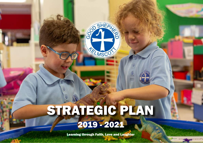# STRATEGIC PLAN

SHEPHO

TEL MSCO

## 2019 - 2021

Learning through Faith, Love and Laughter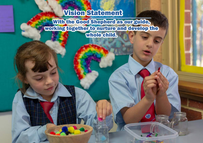### Vision Statement

With the Good Shepherd as our guide, working together to nurture and develop the whole child.

 $\oplus$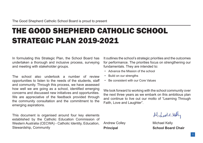## THE GOOD SHEPHERD CATHOLIC SCHOOL STRATEGIC PLAN 2019-2021

In formulating this Strategic Plan, the School Board has undertaken a thorough and inclusive process, surveying and meeting with stakeholder groups.

The school also undertook a number of review opportunities to listen to the needs of the students, staff and community. Through this process, we have assessed how well we are going as a school, identified emerging concerns and discussed new initiatives and opportunities. We are appreciative of the feedback provided through the community consultation and the commitment to the emerging aspirations.

This document is organised around four key elements established by the Catholic Education Commission of Western Australia (CECWA) - Catholic Identity, Education, Stewardship, Community

It outlines the school's strategic priorities and the outcomes for performance. The priorities focus on strengthening our fundamentals. They are intended to:

- Advance the Mission of the school
- Build on our strengths
- Be consistent with our Core Values

We look forward to working with the school community over the next three years as we embark on this ambitious plan and continue to live out our motto of "Learning Through Faith, Love and Laughter".

Midaelckel

Andrew Colley **Michael Kelly Principal School Board Chair**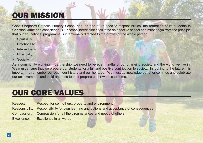## OUR MISSION

Good Shepherd Catholic Primary School has, as one of its specific responsibilities, the formation of its students in Christian virtue and conscience. Our school needs first of all to be an effective school and must begin from the principle that our educational programme is intentionally directed to the growth of the whole person:

- Spiritually
- Emotionally
- Intellectually
- Physically
- Socially

As a community working in partnership, we need to be ever mindful of our changing society and the world we live in. We must ensure that we prepare our students for a full and positive contribution to society. In looking to the future, it is important to remember our past, our history and our heritage. We must acknowledge our shortcomings and celebrate our achievements and build on these to best prepare us for what is to come.

### OUR CORE VALUES

Respect: Respect for self, others, property and environment Responsibility: Responsibility for own learning and actions and acceptance of consequences Compassion: Compassion for all the circumstances and needs of others Excellence: Excellence in all we do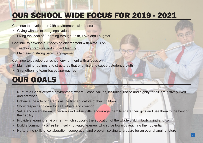## OUR SCHOOL WIDE FOCUS FOR 2019 - 2021

Continue to develop our faith environment with a focus on:

- Giving witness to the gospel values
- Living the ideal of "Learning through Faith, Love and Laughter"

Continue to develop our teaching environment with a focus on:

- Teaching practices and student learning
- Maintaining strong parent engagement

Continue to develop our school environment with a focus on:

- Maintaining routines and structures that prioritise and support student growth
- Strengthening team-based approaches

## OUR GOALS

- Nurture a Christ-centred environment where Gospel values, including justice and dignity for all, are actively lived and practised
- Enhance the role of parents as the first educators of their children
- Show respect and care for self, others and creation
- Value and celebrate each person's individual gifts, encourage them to share their gifts and use them to the best of their ability
- Provide a learning environment which supports the education of the whole child in body, mind and spirit
- Build a community of resilient, self-motivated learners who strive towards reaching their potential
- Nurture the skills of collaboration, cooperation and problem solving to prepare for an ever-changing future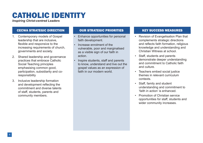## CATHOLIC IDENTITY

*Inspiring Christ-centred Leaders*

### CECWA STRATEGIC DIRECTION OUR STRATEGIC PRIORITIES KEY SUCCESS MEASURES

- 1. Contemporary models of Gospel leadership that are inclusive, flexible and responsive to the increasing requirements of church, governments and society.
- 2. Shared leadership and governance practices that embrace Catholic Social Teaching principles emphasising common good, participation, subsidiarity and coresponsibility
- Inclusive leadership formation and development reflecting the commitment and diverse talents of staff, students, parents and community members.

- Enhance opportunities for personal faith development.
- Increase enrolment of the vulnerable, poor and marginalised as a visible sign of our faith in action.
- Inspire students, staff and parents to know, understand and live out the gospel values as an expression of faith in our modern world.

- Revision of Evangelisation Plan that complements strategic directions and reflects faith formation, religious knowledge and understanding and Christian Witness at school.
- Staff, students and parents demonstrate deeper understanding and commitment to Catholic faith and culture.
- Teachers embed social justice themes in relevant curriculum contexts.
- Staff, family and student understanding and commitment to 'faith in action' is enhanced.
- Promotion of Christian service opportunities for staff, students and wider community increases.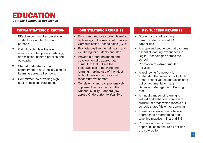

### CECWA STRATEGIC DIRECTION OUR STRATEGIC PRIORITIES KEY SUCCESS MEASURES

- 1. Effective communities developing students as whole Christian persons.
- 2. Catholic schools witnessing effective, contemporary pedagogy and mission-inspired practice and outreach.
- 3. Shared understanding and commitment to a Catholic Vision for Learning across all schools.
- 4. Commitment to providing high quality Religious Education.

- Enrich and improve student learning by leveraging the use of Information Communication Technologies (ICTs)
- Promote positive mental health and well-being for students and staff
- Provide a broad, balanced and developmentally appropriate curriculum that utilises the best practices of teaching and learning, making use of the latest technologies and educational research/development
- Consistently and comprehensively implement requirements of the National Quality Standard (NQS) across Kindergarten to Year Two

- Student and staff learning demonstrate increased ICT capabilities.
- A scope and sequence that captures essential learning experiences in Digital Technologies across the school.
- Promotion of extra-curricular activities
- A Well-being framework is embedded that reflects our Catholic ethos, school values and associated policy documentation (e.g. Behaviour Management, Bullying, etc).
- An inquiry model of learning is valued and enhanced in relevant curriculum areas which reflects our schools stated Vision for Learning
- There is evidence of a cohesive approach to programming and teaching practice in K-2 and 3-6
- Promotion of enrichment opportunities to ensure all abilities are catered for.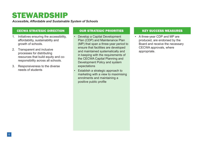## STEWARDSHIP

*Accessible, Affordable and Sustainable System of Schools*

### CECWA STRATEGIC DIRECTION **OUR STRATEGIC PRIORITIES AREA SUCCESS MEASURES**

- 1. Initiatives ensuring the accessibility, affordability, sustainability and growth of schools.
- 2. Transparent and inclusive processes for distributing resources that build equity and coresponsibility across all schools.
- 3. Responsiveness to the diverse needs of students

- Develop a Capital Development Plan (CDP) and Maintenance Plan (MP) that span a three-year period to ensure that facilities are developed and maintained systematically and in keeping with the requirements of the CECWA Capital Planning and Development Policy and system expectations
- Establish a strategic approach to marketing with a view to maximising enrolments and maintaining a positive public profile

• A three-year CDP and MP are produced, are endorsed by the Board and receive the necessary CECWA approvals, where appropriate.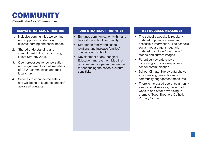## COMMUNITY

*Catholic Pastoral Communities*

### CECWA STRATEGIC DIRECTION OUR STRATEGIC PRIORITIES KEY SUCCESS MEASURES

- 1. Inclusive communities welcoming and supporting students with diverse learning and social needs.
- 2. Shared understanding and commitment to the Transforming Lives: Strategy 2025.
- 3. Open processes for conversation and engagement with all members of CEWA communities and their local church.
- 4. Services to enhance the safety and wellbeing of students and staff across all contexts.

- Enhance communication within and beyond the school community
- Strengthen family and school relations and increase families' connection to school
- Development of an Aboriginal Education Improvement Map that provides and scope and sequence for enhancing the school's cultural sensitivity

- The school's website is regularly updated to provide current and accessible information. The school's social media page is regularly updated to include "good news" stories and current images
- Parent survey data shows increasingly positive response to school communication.
- School Climate Survey data shows an increasing percentile rank for community engagement measures.
- There is increased use of community events, local services, the school website and other advertising to promote Good Shepherd Catholic Primary School.